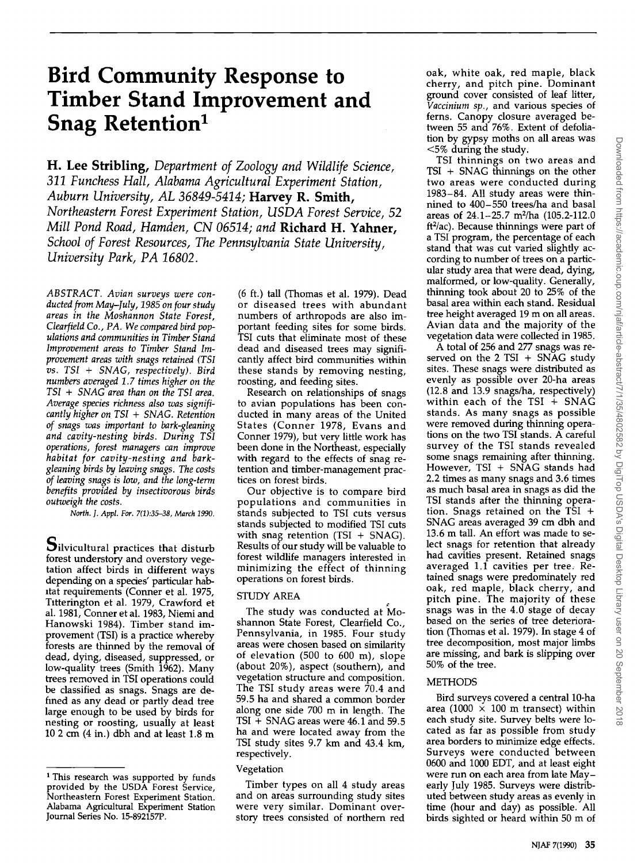# **Bird Community Response to Timber Stand Improvement and Snag Retention<sup>1</sup>**

**H. Lee Stribling, Department of Zoology and Wildlife Science, 311 Funchess Hall, Alabama Agricultural Experiment Station, Auburn University, AL 36849-5414; Harvey R. Smith, Northeastern Forest Experiment Station, USDA Forest Service, 52 Mill Pond Road, Hamden, CN 06514; and Richard H. Yahner,**  School of Forest Resources, The Pennsylvania State University, **University Park, PA 16802.** 

**ABSTRACT. Avian surveys were conducted from May-July, 1985 on four study areas in the Moshannon State Forest, Clearfield Co., PA. We compared bird populations and communities in Timber Stand Improvement areas to Timber Stand Improvement areas with snags retained (TSI vs. TSI + SNAG, respectively). Bird numbers averaged 1.7 times higher on the TSI + SNAG area than on the TSI area. Average species richness also was significantly higher on TSI + SNAG. Retention of snags was important to bark-gleaning and cavity-nesting birds. During TSI operations, forest managers can improve habitat for cavity-nesting and barkgleaning birds by leaving snags. The costs of leaving snags is low, and the long-term benefits provided by insectivorous birds outweigh the costs.** 

**North. J. Appl. For. 7(1):35•38, March 1990.** 

 ${\bf S}$ ilvicultural practices that disturb **forest understory and overstory vegetation affect birds in different ways**  depending on a species' particular hab**itat requirements (Conner et al. 1975, Titterington et al. 1979, Crawford et al. 1981, Conner et al. 1983, Niemi and Hanowski 1984). Timber stand improvement (TSI) is a practice whereby forests are thinned by the removal of dead, dying, diseased, suppressed, or low-quality trees (Smith 1962). Many trees removed in TSI operations could be classified as snags. Snags are defined as any dead or partly dead tree large enough to be used by birds for nesting or roosting, usually at least 10 2 cm (4 in.) dbh and at least 1.8 m** 

**(6 ft.) tall (Thomas et al. 1979). Dead or diseased trees with abundant numbers of arthropods are also important feeding sites for some birds. TS! cuts that eliminate most of these dead and diseased trees may significan fly affect bird communities within these stands by removing nesting, roosting, and feeding sites.** 

**Research on relationships of snags to avian populations has been conducted in many areas of the United States (Conner 1978, Evans and Conner 1979), but very little work has been done in the Northeast, especially with regard to the effects of snag retention and timber-management practices on forest birds.** 

**Our objective is to compare bird populations and communities in stands subjected to TSI cuts versus stands subjected to modified TSI cuts with snag retention (TSI + SNAG). Results of our study will be valuable to forest wildlife managers interested in minimizing the effect of thinning operations on forest birds.** 

# **STUDY AREA**

The study was conducted at Mo**shannon State Forest, Clearfield Co., Pennsylvania, in 1985. Four study areas were chosen based on similarity of elevation (500 to 600 m), slope (about 20%), aspect (southern), and vegetation structure and composition. The TSI study areas were 70.4 and 59.5 ha and shared a common border along one side 700 m in length. The TSI + SNAG areas were 46.1 and 59.5 ha and were located away from the TSI study sites 9.7 km and 43.4 km, respectively.** 

## **Vegetation**

**Timber types on all 4 study areas and on areas surrounding study sites were very similar. Dominant overstory trees consisted of northern red** 

**oak, white oak, red maple, black cherry, and pitch pine. Dominant ground cover consisted of leaf litter, Vaccinium sp., and various species of ferns. Canopy closure averaged between 55 and 76%. Extent of defoliation by gypsy moths on all areas was <5% during the study.** 

**TSI thinnings on two areas and TSI + SNAG thinnings on the other two areas were conducted during 1983-84. All study areas were thinnined to 400-550 trees/ha and basal areas of 24.1-25.7 m2/ha (105.2-112.0 ft2/ac). Because thinnings were part of a TSI program, the percentage of each stand that was cut varied slightly according to number of trees on a particular study area that were dead, dying, malformed, or low-quality. Generally, thinning took about 20 to 25% of the basal area within each stand. Residual tree height averaged 19 m on all areas. Avian data and the majority of the vegetation data were collected in 1985.** 

**A total of 256 and 277 snags was reserved on the 2 TSI + SNAG study sites. These snags were distributed as evenly as possible over 20-ha areas (12.8 and 13.9 snags/ha, respectively) within each of the TSI + SNAG stands. As many snags as possible were removed during thinning operations on the two TSI stands. A careful survey of the TSI stands revealed some snags remaining after thinning. However, TSI + SNAG stands had 2.2 times as many snags and 3.6 times as much basal area in snags as did the TSI stands after the thinning operation. Snags retained on the TS! + SNAG areas averaged 39 cm dbh and 13.6 m tall. An effort was made to select snags for retention that already had cavities present. Retained snags averaged 1.1 cavities per tree. Rerained snags were predominately red oak, red maple, black cherry, and pitch pine. The majority of these snags was in the 4.0 stage of decay based on the series of tree deterioration (Thomas et al. 1979). In stage 4 of tree decomposition, most major limbs are missing, and bark is slipping over 50% of the tree.** 

# **METHODS**

**Bird surveys covered a central 10-ha area (1000 x 100 m transect) within each study site. Survey belts were located as far as possible from study area borders to minimize edge effects. Surveys were conducted between 0600 and 1000 EDT, and at least eight were run on each area from late Mayearly July 1985. Surveys were distributed between study areas as evenly in time (hour and day) as possible. All birds sighted or heard within 50 m of** 

**<sup>1</sup> This research was supported by funds provided by the USDA Forest Service, Northeastern Forest Experiment Station. Alabama Agricultural Experiment Station Journal Series No. 15-892157P.**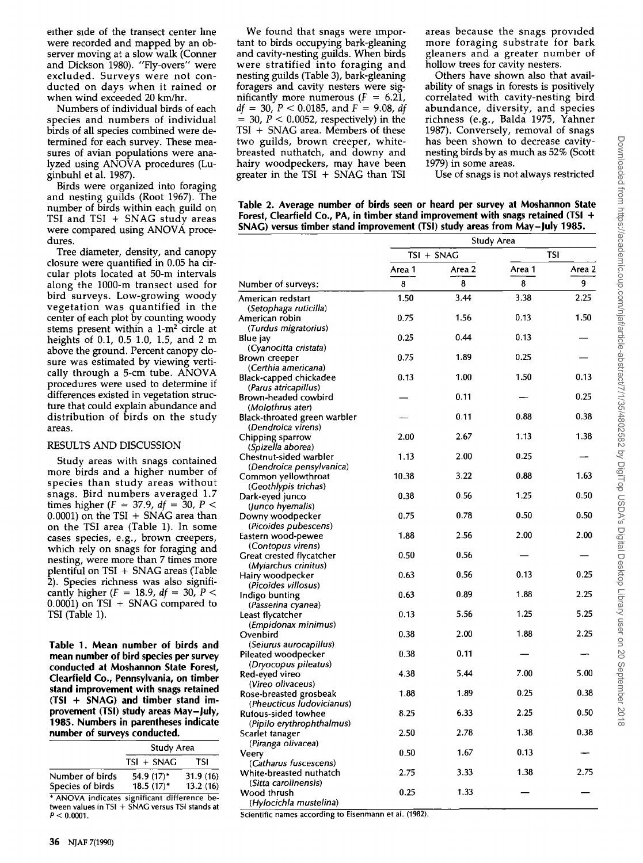**either side of the transect center line were recorded and mapped by an observer moving at a slow walk (Conner and Dickson 1980). "Fly-overs" were excluded. Surveys were not conducted on days when it rained or when wind exceeded 20 km/hr.** 

**Numbers of individual birds of each species and numbers of individual birds of all species combined were determined for each survey. These measures of avian populations were analyzed using ANOVA procedures (Luginbuhl et al. 1987).** 

**Birds were organized into foraging and nesting guilds (Root 1967). The number of birds within each guild on TSI and TSI + SNAG study areas were compared using ANOVA procedures.** 

**Tree diameter, density, and canopy closure were quantified in 0.05 ha circular plots located at 50-m intervals along the 1000-m transect used for bird surveys. Low-growing woody vegetation was quantified in the center of each plot by counting woody**  stems present within a 1-m<sup>2</sup> circle at **heights of 0.1, 0.5 1.0, 1.5, and 2 m above the ground. Percent canopy closure was estimated by viewing vertically through a 5-cm tube. ANOVA procedures were used to determine if differences existed in vegetation structure that could explain abundance and distribution of birds on the study areas.** 

#### **RESULTS AND DISCUSSION**

**Study areas with snags contained more birds and a higher number of species than study areas without snags. Bird numbers averaged 1.7 times higher (** $F = 37.9$ **,**  $df = 30$ **,**  $P <$ **0.0001) on the TSI + SNAG area than on the TSI area (Table 1). In some cases species, e.g., brown creepers, which rely on snags for foraging and nesting, were more than 7 times more plentiful on TSI + SNAG areas (Table 2). Species richness was also signifi**cantly higher  $(F = 18.9, df = 30, P <$ **0.0001) on TSI + SNAG compared to TSI (Table 1).** 

**Table 1. Mean number of birds and mean number of bird species per survey conducted at Moshannon State Forest, Clearfield Co., Pennsylvania, on timber stand improvement with snags retained (TSI + SNAG) and timber stand improvement (TSI) study areas May-July, 1985. Numbers in parentheses indicate number of surveys conducted.** 

|                                                                                                                       | Study Area                 |                      |  |
|-----------------------------------------------------------------------------------------------------------------------|----------------------------|----------------------|--|
|                                                                                                                       | TSI + SNAG                 | TSI                  |  |
| Number of birds<br>Species of birds                                                                                   | 54.9 (17)*<br>$18.5(17)^*$ | 31.9(16)<br>13.2(16) |  |
| * ANOVA indicates significant difference be-<br>tween values in $TSI + SNAG$ versus $TSI$ stands at<br>$P < 0.0001$ . |                            |                      |  |

**We found that snags were important to birds occupying bark-gleaning**  and cavity-nesting guilds. When birds **were stratified into foraging and nesting guilds (Table 3), bark-gleaning foragers and cavity nesters were sig**nificantly more numerous  $(F = 6.21)$ ,  $df = 30$ ,  $P < 0.0185$ , and  $F = 9.08$ , df  $=$  30,  $P < 0.0052$ , respectively) in the **TSI + SNAG area. Members of these two guilds, brown creeper, whitebreasted nuthatch, and downy and hairy woodpeckers, may have been greater in the TSI + SNAG than TSI**  **areas because the snags provided more foraging substrate for bark gleaners and a greater number of hollow trees for cavity nesters.** 

**Others have shown also that availability of snags in forests is positively correlated with cavity-nesting bird abundance, diversity, and species richness (e.g., Balda 1975, Yahner 1987). Conversely, removal of snags has been shown to decrease cavitynesting birds by as much as 52% (Scott 1979) in some areas.** 

**Use of snags is not always restricted** 

 $\overline{\phantom{a}}$  $\overline{\phantom{a}}$  $\overline{\phantom{a}}$ 

| Table 2. Average number of birds seen or heard per survey at Moshannon State         |
|--------------------------------------------------------------------------------------|
| Forest, Clearfield Co., PA, in timber stand improvement with snags retained (TSI $+$ |
| SNAG) versus timber stand improvement (TSI) study areas from May-July 1985.          |

|                                          | Study Area |        |        |        |
|------------------------------------------|------------|--------|--------|--------|
|                                          | TSI + SNAG |        | TSI    |        |
|                                          | Area 1     | Area 2 | Area 1 | Area 2 |
| Number of surveys:                       | 8          | 8      | 8      | 9      |
| American redstart                        | 1.50       | 3.44   | 3.38   | 2.25   |
| (Setophaga ruticilla)                    |            |        |        |        |
| American robin                           | 0.75       | 1.56   | 0.13   | 1.50   |
| (Turdus migratorius)                     |            |        |        |        |
| Blue jay                                 | 0.25       | 0.44   | 0.13   |        |
| (Cyanocitta cristata)                    |            |        |        |        |
| Brown creeper                            | 0.75       | 1.89   | 0.25   |        |
| (Certhia americana)                      |            |        |        |        |
| Black-capped chickadee                   | 0.13       | 1.00   | 1.50   | 0.13   |
| (Parus atricapillus)                     |            |        |        |        |
| Brown-headed cowbird                     |            | 0.11   |        | 0.25   |
| (Molothrus ater)                         |            |        |        |        |
| Black-throated green warbler             |            | 0.11   | 0.88   | 0.38   |
| (Dendroica virens)                       |            |        |        |        |
| Chipping sparrow                         | 2.00       | 2.67   | 1.13   | 1.38   |
| (Spizella aborea)                        |            |        |        |        |
| Chestnut-sided warbler                   | 1.13       | 2.00   | 0.25   |        |
| (Dendroica pensylvanica)                 |            |        |        |        |
| Common yellowthroat                      | 10.38      | 3.22   | 0.88   | 1.63   |
| (Geothlypis trichas)                     |            |        |        |        |
| Dark-eyed junco                          | 0.38       | 0.56   | 1.25   | 0.50   |
| (Junco hyemalis)                         |            |        |        |        |
| Downy woodpecker                         | 0.75       | 0.78   | 0.50   | 0.50   |
| (Picoides pubescens)                     |            |        |        |        |
| Eastern wood-pewee                       | 1.88       | 2.56   | 2.00   | 2.00   |
| (Contopus virens)                        |            |        |        |        |
| Great crested flycatcher                 | 0.50       | 0.56   |        |        |
|                                          |            |        |        |        |
| (Myiarchus crinitus)<br>Hairy woodpecker | 0.63       | 0.56   | 0.13   | 0.25   |
| (Picoides villosus)                      |            |        |        |        |
|                                          | 0.63       | 0.89   | 1.88   | 2.25   |
| Indigo bunting                           |            |        |        |        |
| (Passerina cyanea)                       | 0.13       | 5.56   | 1.25   | 5.25   |
| Least flycatcher                         |            |        |        |        |
| (Empidonax minimus)                      | 0.38       | 2.00   | 1.88   | 2.25   |
| Ovenbird                                 |            |        |        |        |
| (Seiurus aurocapillus)                   | 0.38       | 0.11   |        |        |
| Pileated woodpecker                      |            |        |        |        |
| (Dryocopus pileatus)                     | 4.38       | 5.44   | 7.00   | 5.00   |
| Red-eyed vireo                           |            |        |        |        |
| (Vireo olivaceus)                        | 1.88       | 1.89   | 0.25   | 0.38   |
| Rose-breasted grosbeak                   |            |        |        |        |
| (Pheucticus ludovicianus)                |            |        | 2.25   | 0.50   |
| Rufous-sided towhee                      | 8.25       | 6.33   |        |        |
| (Pipilo erythrophthalmus)                |            |        |        |        |
| Scarlet tanager                          | 2.50       | 2.78   | 1.38   | 0.38   |
| (Piranga olivacea)                       |            |        |        |        |
| Veerv                                    | 0.50       | 1.67   | 0.13   |        |
| (Catharus fuscescens)                    |            |        |        |        |
| White-breasted nuthatch                  | 2.75       | 3.33   | 1.38   | 2.75   |
| (Sitta carolinensis)                     |            |        |        |        |
| Wood thrush                              | 0.25       | 1.33   |        |        |
| (Hylocichla mustelina)                   |            |        |        |        |

**Scientific names according to Eisenmann et al. (1982).**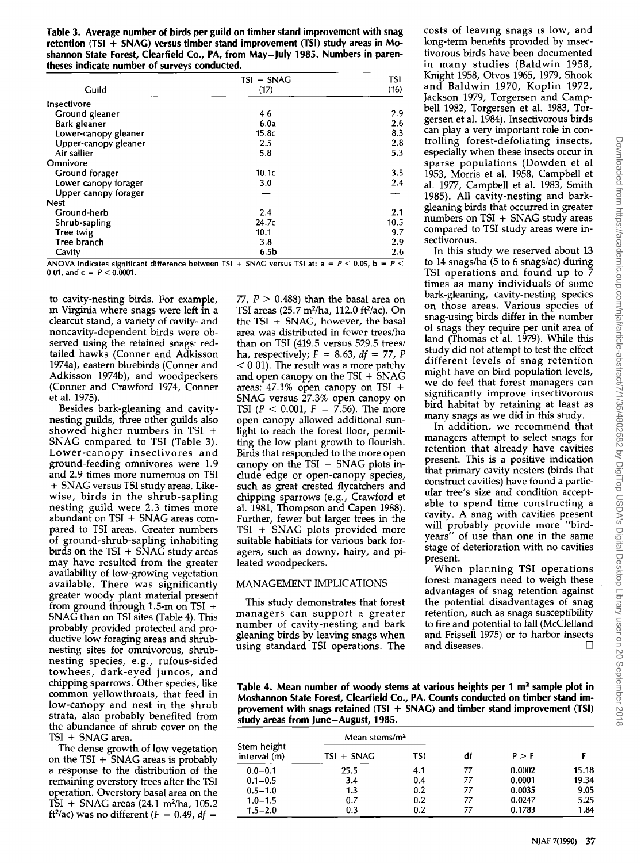| Table 3. Average number of birds per guild on timber stand improvement with snag |
|----------------------------------------------------------------------------------|
| retention (TSI + SNAG) versus timber stand improvement (TSI) study areas in Mo-  |
| shannon State Forest, Clearfield Co., PA, from May-July 1985. Numbers in paren-  |
| theses indicate number of surveys conducted.                                     |

|                        | TSI + SNAG        | <b>TSI</b><br>(16)   |  |
|------------------------|-------------------|----------------------|--|
| Guild                  | (17)              |                      |  |
| Insectivore            |                   |                      |  |
| Ground gleaner         | 4.6               | 2.9                  |  |
| Bark gleaner           | 6.0a              | 2.6                  |  |
| Lower-canopy gleaner   | 15.8c             | 8.3                  |  |
| Upper-canopy gleaner   | 2.5               | 2.8                  |  |
| Air sallier            | 5.8               | 5.3                  |  |
| Omnivore               |                   |                      |  |
| Ground forager         | 10.1 <sub>C</sub> | 3.5                  |  |
| Lower canopy forager   | 3.0               | 2.4                  |  |
| Upper canopy forager   |                   |                      |  |
| <b>Nest</b>            |                   |                      |  |
| Ground-herb            | 2.4               | 2.1                  |  |
| Shrub-sapling          | 24.7c             | 10.5                 |  |
| Tree twig              | 10.1              | 9.7                  |  |
| Tree branch            | 3.8               | 2.9                  |  |
| Cavity<br>$\mathbf{A}$ | 6.5 <sub>b</sub>  | 2.6<br>$0 \leq 0.05$ |  |

**AOVA indicates significant difference between TSI + SNAG versus TSI at:**  $a = P < 0.05$ **, b** 0 01, and  $c = P < 0.0001$ .

**to cavity-nesting birds. For example, m Virginia where snags were left in a clearcut stand, a variety of cavity- and noncavity-dependent birds were observed using the retained snags: redtailed hawks (Conner and Adkisson 1974a), eastern bluebirds (Conner and Adkisson 1974b), and woodpeckers (Conner and Crawford 1974, Conner et al. 1975).** 

**Besides bark-gleaning and cavitynesting guilds, three other guilds also showed higher numbers in TSI + SNAG compared to TSI (Table 3). Lower-canopy insectivores and ground-feeding omnivotes were 1.9 and 2.9 times more numerous on TSI + SNAG versus TSI study areas. Likewise, birds in the shrub-sapling nesting guild were 2.3 times more abundant on TSI + SNAG areas compared to TSI areas. Greater numbers of ground-shrub-sapling inhabiting b•rds on the TSI + SNAG study areas may have resulted from the greater availability of low-growing vegetation available. There was significantly greater woody plant material present from ground through 1.5-m on TSI + SNAG than on TSI sites (Table 4). This probably provided protected and productive low foraging areas and shrubnesting sites for omnivorous, shrubnesting species, e.g., rufous-sided towhees, dark-eyed juncos, and chipping sparrows. Other species, like common yellowthroats, that feed in low-canopy and nest in the shrub strata, also probably benefited from the abundance of shrub cover on the TSI + SNAG area.** 

**The dense growth of low vegetation on the TSI + SNAG areas is probably a response to the distribution of the remaining overstory trees after the TSI operation. Overstory basal area on the TSI + SNAG areas (24.1 m2/ha, 105.2**  ft<sup>2</sup>/ac) was no different  $(F = 0.49, df =$ 

**77, P > 0.488) than the basal area on TSI areas (25.7 m2/ha, 112.0 ft2/ac). On the TSI + SNAG, however, the basal area was distributed in fewer trees/ha than on TSI (419.5 versus 529.5 trees/ ha, respectively; F = 8.63, df = 77, P < 0.01). The result was a more patchy and open canopy on the TSI + SNAG areas: 47.1% open canopy on TSI + SNAG versus 27.3% open canopy on TSI** ( $P < 0.001$ ,  $F = 7.56$ ). The more **open canopy allowed additional sunlight to reach the forest floor, permitting the low plant growth to flourish. Birds that responded to the more open canopy on the TSI + SNAG plots include edge or open-canopy species, such as great crested flycatchers and chipping sparrows (e.g., Crawford et al. 1981, Thompson and Capen 1988). Further, fewer but larger trees in the TSI + SNAG plots provided more suitable habitiats for various bark foragers, such as downy, hairy, and pileated woodpeckers.** 

## **MANAGEMENT IMPLICATIONS**

**This study demonstrates that forest managers can support a greater number of cavity-nesting and bark gleaning birds by leaving snags when using standard TSI operations. The**  **costs of leaving snags •s low, and**  long-term benefits provided by insec**tivorous birds have been documented in many studies (Baldwin 1958, Knight 1958, Otvos 1965, 1979, Shook and Baldwin 1970, Koplin 1972, Jackson 1979, Torgersen and Campbell 1982, Torgersen et al. 1983, Torgersen et al. 1984). Insectivorous birds can play a very important role in controlling forest-defoliating insects, especially when these insects occur in sparse populations (Dowden et al 1953, Morris et al. 1958, Campbell et al. 1977, Campbell et al. 1983, Smith 1985). All cavity-nesting and barkgleaning birds that occurred in greater numbers on TSI + SNAG study areas compared to TSI study areas were insectivorous.** 

**In this study we reserved about 13 to 14 snags/ha (5 to 6 snags/ac) during TSI operations and found up to 7 times as many individuals of some bark-gleaning, cavity-nesting species on those areas. Various species of snag-using birds differ in the number of snags they require per unit area of land (Thomas et al. 1979). While this**  study did not attempt to test the effect **different levels of snag retention might have on bird population levels, we do feel that forest managers can significantly improve insectivorous bird habitat by retaining at least as many snags as we did in this study.** 

**In addition, we recommend that managers attempt to select snags for retention that already have cavities present. This is a positive indication that primary cavity nesters (birds that construct cavities) have found a particular tree's size and condition acceptable to spend time constructing a cavity. A snag with cavities present will probably provide more "birdyears" of use than one in the same stage of deterioration with no cavities present.** 

**When planning TSI operations forest managers need to weigh these advantages of snag retention against the potential disadvantages of snag retention, such as snags susceptibility to fire and potential to fall (McClelland and Frissell 1975) or to harbor insects and diseases. []** 

**Table 4. Mean number of woody stems at various heights per 1 m<sup>2</sup> sample plot in Moshannon State Forest, Clearfield Co., PA. Counts conducted on timber stand improvement with snags retained (TSI + SNAG) and timber stand improvement (TSI) study areas from June-August, 1985.** 

| Stem height<br>interval (m) | Mean stems/ $m2$ |     |    |        |       |
|-----------------------------|------------------|-----|----|--------|-------|
|                             | $TSI + SNAG$     | TSI | df | P > F  |       |
| $0.0 - 0.1$                 | 25.5             | 4.1 | 77 | 0.0002 | 15.18 |
| $0.1 - 0.5$                 | 3.4              | 0.4 | 77 | 0.0001 | 19.34 |
| $0.5 - 1.0$                 | 1.3              | 0.2 | 77 | 0.0035 | 9.05  |
| $1.0 - 1.5$                 | 0.7              | 0.2 | 77 | 0.0247 | 5.25  |
| $1.5 - 2.0$                 | 0.3              | 0.2 | 77 | 0.1783 | 1.84  |